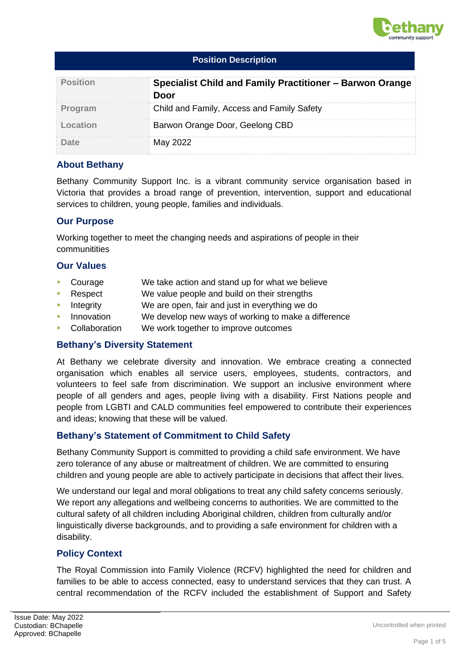

| <b>Position</b> | Specialist Child and Family Practitioner - Barwon Orange<br>Door |  |
|-----------------|------------------------------------------------------------------|--|
| Program         | Child and Family, Access and Family Safety                       |  |
| Location        | Barwon Orange Door, Geelong CBD                                  |  |
|                 | May 2022                                                         |  |

### **About Bethany**

Bethany Community Support Inc. is a vibrant community service organisation based in Victoria that provides a broad range of prevention, intervention, support and educational services to children, young people, families and individuals.

### **Our Purpose**

Working together to meet the changing needs and aspirations of people in their communitities

### **Our Values**

- Courage We take action and stand up for what we believe
- Respect We value people and build on their strengths
- **EXECUTE:** Integrity We are open, fair and just in everything we do
- Innovation We develop new ways of working to make a difference
- Collaboration We work together to improve outcomes

### **Bethany's Diversity Statement**

At Bethany we celebrate diversity and innovation. We embrace creating a connected organisation which enables all service users, employees, students, contractors, and volunteers to feel safe from discrimination. We support an inclusive environment where people of all genders and ages, people living with a disability. First Nations people and people from LGBTI and CALD communities feel empowered to contribute their experiences and ideas; knowing that these will be valued.

## **Bethany's Statement of Commitment to Child Safety**

Bethany Community Support is committed to providing a child safe environment. We have zero tolerance of any abuse or maltreatment of children. We are committed to ensuring children and young people are able to actively participate in decisions that affect their lives.

We understand our legal and moral obligations to treat any child safety concerns seriously. We report any allegations and wellbeing concerns to authorities. We are committed to the cultural safety of all children including Aboriginal children, children from culturally and/or linguistically diverse backgrounds, and to providing a safe environment for children with a disability.

## **Policy Context**

The Royal Commission into Family Violence (RCFV) highlighted the need for children and families to be able to access connected, easy to understand services that they can trust. A central recommendation of the RCFV included the establishment of Support and Safety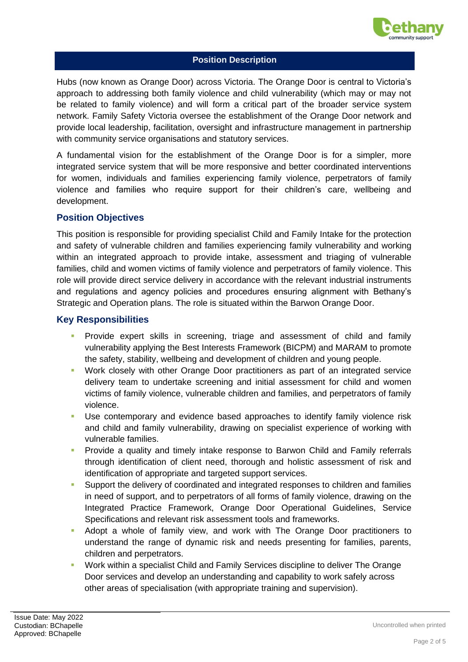

Hubs (now known as Orange Door) across Victoria. The Orange Door is central to Victoria's approach to addressing both family violence and child vulnerability (which may or may not be related to family violence) and will form a critical part of the broader service system network. Family Safety Victoria oversee the establishment of the Orange Door network and provide local leadership, facilitation, oversight and infrastructure management in partnership with community service organisations and statutory services.

A fundamental vision for the establishment of the Orange Door is for a simpler, more integrated service system that will be more responsive and better coordinated interventions for women, individuals and families experiencing family violence, perpetrators of family violence and families who require support for their children's care, wellbeing and development.

### **Position Objectives**

This position is responsible for providing specialist Child and Family Intake for the protection and safety of vulnerable children and families experiencing family vulnerability and working within an integrated approach to provide intake, assessment and triaging of vulnerable families, child and women victims of family violence and perpetrators of family violence. This role will provide direct service delivery in accordance with the relevant industrial instruments and regulations and agency policies and procedures ensuring alignment with Bethany's Strategic and Operation plans. The role is situated within the Barwon Orange Door.

## **Key Responsibilities**

- **•** Provide expert skills in screening, triage and assessment of child and family vulnerability applying the Best Interests Framework (BICPM) and MARAM to promote the safety, stability, wellbeing and development of children and young people.
- Work closely with other Orange Door practitioners as part of an integrated service delivery team to undertake screening and initial assessment for child and women victims of family violence, vulnerable children and families, and perpetrators of family violence.
- Use contemporary and evidence based approaches to identify family violence risk and child and family vulnerability, drawing on specialist experience of working with vulnerable families.
- Provide a quality and timely intake response to Barwon Child and Family referrals through identification of client need, thorough and holistic assessment of risk and identification of appropriate and targeted support services.
- Support the delivery of coordinated and integrated responses to children and families in need of support, and to perpetrators of all forms of family violence, drawing on the Integrated Practice Framework, Orange Door Operational Guidelines, Service Specifications and relevant risk assessment tools and frameworks.
- Adopt a whole of family view, and work with The Orange Door practitioners to understand the range of dynamic risk and needs presenting for families, parents, children and perpetrators.
- Work within a specialist Child and Family Services discipline to deliver The Orange Door services and develop an understanding and capability to work safely across other areas of specialisation (with appropriate training and supervision).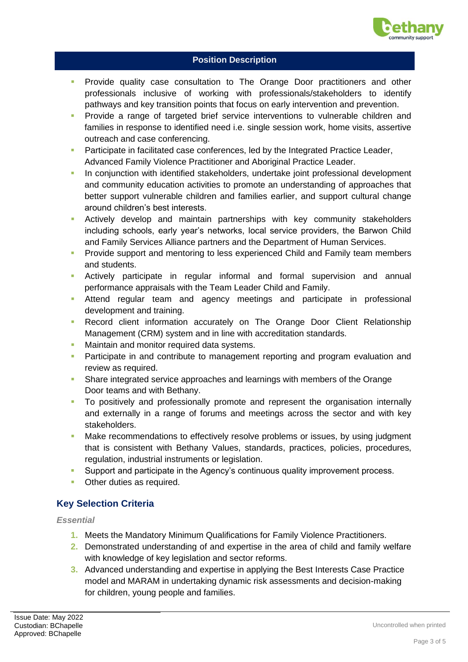

- Provide quality case consultation to The Orange Door practitioners and other professionals inclusive of working with professionals/stakeholders to identify pathways and key transition points that focus on early intervention and prevention.
- **•** Provide a range of targeted brief service interventions to vulnerable children and families in response to identified need i.e. single session work, home visits, assertive outreach and case conferencing.
- Participate in facilitated case conferences, led by the Integrated Practice Leader, Advanced Family Violence Practitioner and Aboriginal Practice Leader.
- **In conjunction with identified stakeholders, undertake joint professional development** and community education activities to promote an understanding of approaches that better support vulnerable children and families earlier, and support cultural change around children's best interests.
- Actively develop and maintain partnerships with key community stakeholders including schools, early year's networks, local service providers, the Barwon Child and Family Services Alliance partners and the Department of Human Services.
- **Provide support and mentoring to less experienced Child and Family team members** and students.
- **E** Actively participate in regular informal and formal supervision and annual performance appraisals with the Team Leader Child and Family.
- **E** Attend regular team and agency meetings and participate in professional development and training.
- **•** Record client information accurately on The Orange Door Client Relationship Management (CRM) system and in line with accreditation standards.
- Maintain and monitor required data systems.
- **Participate in and contribute to management reporting and program evaluation and** review as required.
- Share integrated service approaches and learnings with members of the Orange Door teams and with Bethany.
- **•** To positively and professionally promote and represent the organisation internally and externally in a range of forums and meetings across the sector and with key stakeholders.
- **Make recommendations to effectively resolve problems or issues, by using judgment** that is consistent with Bethany Values, standards, practices, policies, procedures, regulation, industrial instruments or legislation.
- Support and participate in the Agency's continuous quality improvement process.
- Other duties as required.

# **Key Selection Criteria**

*Essential*

- **1.** Meets the Mandatory Minimum Qualifications for Family Violence Practitioners.
- **2.** Demonstrated understanding of and expertise in the area of child and family welfare with knowledge of key legislation and sector reforms.
- **3.** Advanced understanding and expertise in applying the Best Interests Case Practice model and MARAM in undertaking dynamic risk assessments and decision-making for children, young people and families.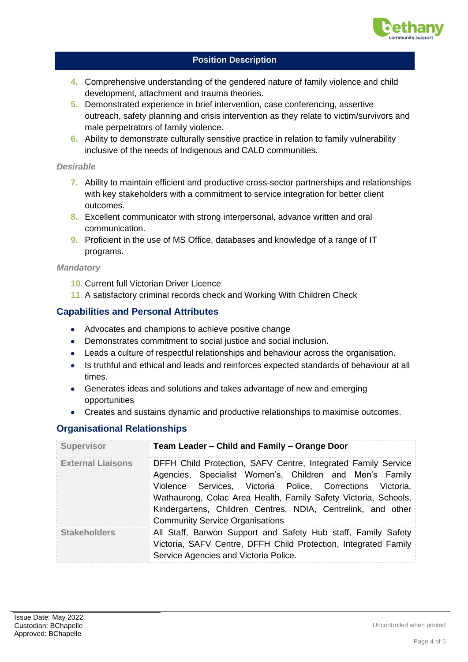

- **4.** Comprehensive understanding of the gendered nature of family violence and child development, attachment and trauma theories.
- **5.** Demonstrated experience in brief intervention, case conferencing, assertive outreach, safety planning and crisis intervention as they relate to victim/survivors and male perpetrators of family violence.
- **6.** Ability to demonstrate culturally sensitive practice in relation to family vulnerability inclusive of the needs of Indigenous and CALD communities.

### *Desirable*

- **7.** Ability to maintain efficient and productive cross-sector partnerships and relationships with key stakeholders with a commitment to service integration for better client outcomes.
- **8.** Excellent communicator with strong interpersonal, advance written and oral communication.
- **9.** Proficient in the use of MS Office, databases and knowledge of a range of IT programs.

### *Mandatory*

- **10.** Current full Victorian Driver Licence
- **11.** A satisfactory criminal records check and Working With Children Check

# **Capabilities and Personal Attributes**

- Advocates and champions to achieve positive change
- Demonstrates commitment to social justice and social inclusion.
- Leads a culture of respectful relationships and behaviour across the organisation.
- Is truthful and ethical and leads and reinforces expected standards of behaviour at all times.
- Generates ideas and solutions and takes advantage of new and emerging opportunities
- Creates and sustains dynamic and productive relationships to maximise outcomes.

# **Organisational Relationships**

| <b>Supervisor</b>        | Team Leader – Child and Family – Orange Door                                                                                                                                                                                                                                                                                                                       |  |  |
|--------------------------|--------------------------------------------------------------------------------------------------------------------------------------------------------------------------------------------------------------------------------------------------------------------------------------------------------------------------------------------------------------------|--|--|
| <b>External Liaisons</b> | DFFH Child Protection, SAFV Centre, Integrated Family Service<br>Agencies, Specialist Women's, Children and Men's Family<br>Violence Services, Victoria Police, Corrections Victoria,<br>Wathaurong, Colac Area Health, Family Safety Victoria, Schools,<br>Kindergartens, Children Centres, NDIA, Centrelink, and other<br><b>Community Service Organisations</b> |  |  |
| <b>Stakeholders</b>      | All Staff, Barwon Support and Safety Hub staff, Family Safety<br>Victoria, SAFV Centre, DFFH Child Protection, Integrated Family<br>Service Agencies and Victoria Police.                                                                                                                                                                                          |  |  |